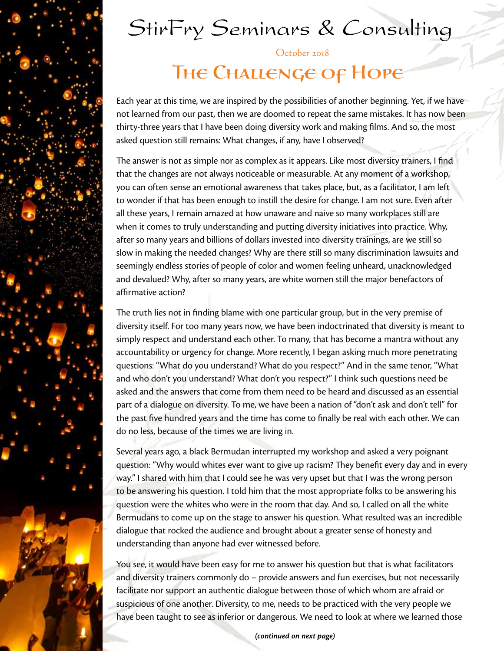# StirFry Seminars & Consulting

October 2018

### THE CHALLENGE OF HOPE

Each year at this time, we are inspired by the possibilities of another beginning. Yet, if we have not learned from our past, then we are doomed to repeat the same mistakes. It has now been thirty-three years that I have been doing diversity work and making films. And so, the most asked question still remains: What changes, if any, have I observed?

The answer is not as simple nor as complex as it appears. Like most diversity trainers, I find that the changes are not always noticeable or measurable. At any moment of a workshop, you can often sense an emotional awareness that takes place, but, as a facilitator, I am left to wonder if that has been enough to instill the desire for change. I am not sure. Even after all these years, I remain amazed at how unaware and naive so many workplaces still are when it comes to truly understanding and putting diversity initiatives into practice. Why, after so many years and billions of dollars invested into diversity trainings, are we still so slow in making the needed changes? Why are there still so many discrimination lawsuits and seemingly endless stories of people of color and women feeling unheard, unacknowledged and devalued? Why, after so many years, are white women still the major benefactors of affirmative action?

The truth lies not in finding blame with one particular group, but in the very premise of diversity itself. For too many years now, we have been indoctrinated that diversity is meant to simply respect and understand each other. To many, that has become a mantra without any accountability or urgency for change. More recently, I began asking much more penetrating questions: "What do you understand? What do you respect?" And in the same tenor, "What and who don't you understand? What don't you respect?" I think such questions need be asked and the answers that come from them need to be heard and discussed as an essential part of a dialogue on diversity. To me, we have been a nation of "don't ask and don't tell" for the past five hundred years and the time has come to finally be real with each other. We can do no less, because of the times we are living in.

Several years ago, a black Bermudan interrupted my workshop and asked a very poignant question: "Why would whites ever want to give up racism? They benefit every day and in every way." I shared with him that I could see he was very upset but that I was the wrong person to be answering his question. I told him that the most appropriate folks to be answering his question were the whites who were in the room that day. And so, I called on all the white Bermudans to come up on the stage to answer his question. What resulted was an incredible dialogue that rocked the audience and brought about a greater sense of honesty and understanding than anyone had ever witnessed before.

You see, it would have been easy for me to answer his question but that is what facilitators and diversity trainers commonly do – provide answers and fun exercises, but not necessarily facilitate nor support an authentic dialogue between those of which whom are afraid or suspicious of one another. Diversity, to me, needs to be practiced with the very people we have been taught to see as inferior or dangerous. We need to look at where we learned those

*(continued on next page)*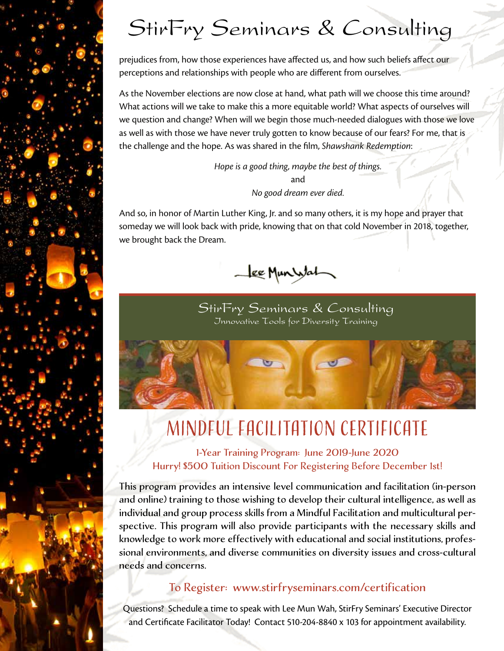# StirFry Seminars & Consulting

prejudices from, how those experiences have affected us, and how such beliefs affect our perceptions and relationships with people who are different from ourselves.

As the November elections are now close at hand, what path will we choose this time around? What actions will we take to make this a more equitable world? What aspects of ourselves will we question and change? When will we begin those much-needed dialogues with those we love as well as with those we have never truly gotten to know because of our fears? For me, that is the challenge and the hope. As was shared in the film, *Shawshank Redemption*:

> *Hope is a good thing, maybe the best of things.* and *No good dream ever died.*

And so, in honor of Martin Luther King, Jr. and so many others, it is my hope and prayer that someday we will look back with pride, knowing that on that cold November in 2018, together, we brought back the Dream.



StirFry Seminars & Consulting Innovative Tools for Diversity Training



## Mindful Facilitation Certificate

1-Year Training Program: June 2019-June 2020 Hurry! \$500 Tuition Discount For Registering Before December 1st!

This program provides an intensive level communication and facilitation (in-person and online) training to those wishing to develop their cultural intelligence, as well as individual and group process skills from a Mindful Facilitation and multicultural perspective. This program will also provide participants with the necessary skills and knowledge to work more effectively with educational and social institutions, professional environments, and diverse communities on diversity issues and cross-cultural needs and concerns.

#### To Register: www.stirfryseminars.com/certification

Questions? Schedule a time to speak with Lee Mun Wah, StirFry Seminars' Executive Director and Certificate Facilitator Today! Contact 510-204-8840 x 103 for appointment availability.